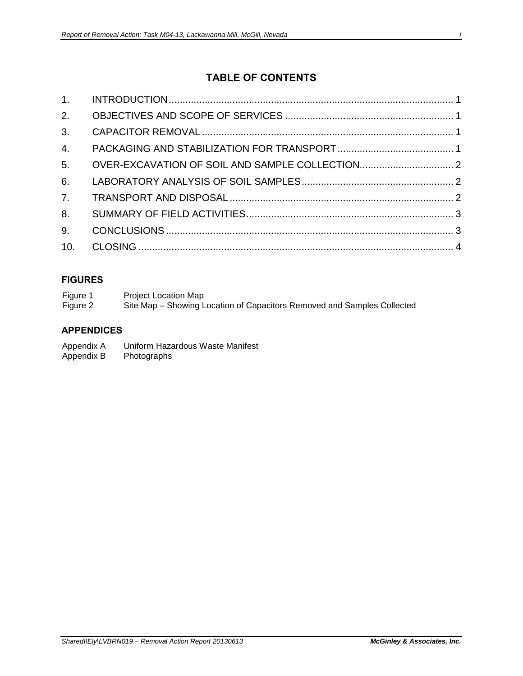# **TABLE OF CONTENTS**

| 1. |  |
|----|--|
|    |  |
|    |  |
|    |  |
|    |  |
|    |  |
|    |  |
|    |  |
|    |  |
|    |  |
|    |  |

#### **FIGURES**

| Figure 1 | Project Location Map                                                    |
|----------|-------------------------------------------------------------------------|
| Figure 2 | Site Map – Showing Location of Capacitors Removed and Samples Collected |

#### **APPENDICES**

- Appendix A Uniform Hazardous Waste Manifest<br>Appendix B Photographs
- Photographs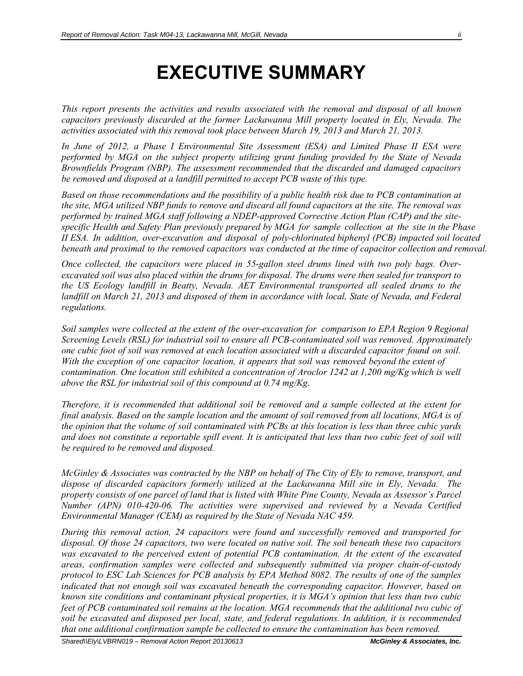# **EXECUTIVE SUMMARY**

*This report presents the activities and results associated with the removal and disposal of all known capacitors previously discarded at the former Lackawanna Mill property located in Ely, Nevada. The activities associated with this removal took place between March 19, 2013 and March 21, 2013.* 

*In June of 2012, a Phase I Environmental Site Assessment (ESA) and Limited Phase II ESA were performed by MGA on the subject property utilizing grant funding provided by the State of Nevada Brownfields Program (NBP). The assessment recommended that the discarded and damaged capacitors be removed and disposed at a landfill permitted to accept PCB waste of this type.* 

*Based on those recommendations and the possibility of a public health risk due to PCB contamination at the site, MGA utilized NBP funds to remove and discard all found capacitors at the site. The removal was performed by trained MGA staff following a NDEP-approved Corrective Action Plan (CAP) and the sitespecific Health and Safety Plan previously prepared by MGA for sample collection at the site in the Phase II ESA. In addition, over-excavation and disposal of poly-chlorinated biphenyl (PCB) impacted soil located beneath and proximal to the removed capacitors was conducted at the time of capacitor collection and removal.*

*Once collected, the capacitors were placed in 55-gallon steel drums lined with two poly bags. Overexcavated soil was also placed within the drums for disposal. The drums were then sealed for transport to the US Ecology landfill in Beatty, Nevada. AET Environmental transported all sealed drums to the landfill on March 21, 2013 and disposed of them in accordance with local, State of Nevada, and Federal regulations.* 

*Soil samples were collected at the extent of the over-excavation for comparison to EPA Region 9 Regional Screening Levels (RSL) for industrial soil to ensure all PCB-contaminated soil was removed. Approximately one cubic foot of soil was removed at each location associated with a discarded capacitor found on soil. With the exception of one capacitor location, it appears that soil was removed beyond the extent of contamination. One location still exhibited a concentration of Aroclor 1242 at 1,200 mg/Kg which is well above the RSL for industrial soil of this compound at 0.74 mg/Kg.* 

*Therefore, it is recommended that additional soil be removed and a sample collected at the extent for final analysis. Based on the sample location and the amount of soil removed from all locations, MGA is of the opinion that the volume of soil contaminated with PCBs at this location is less than three cubic yards and does not constitute a reportable spill event. It is anticipated that less than two cubic feet of soil will be required to be removed and disposed.* 

*McGinley & Associates was contracted by the NBP on behalf of The City of Ely to remove, transport, and dispose of discarded capacitors formerly utilized at the Lackawanna Mill site in Ely, Nevada. The property consists of one parcel of land that is listed with White Pine County, Nevada as Assessor's Parcel Number (APN) 010-420-06. The activities were supervised and reviewed by a Nevada Certified Environmental Manager (CEM) as required by the State of Nevada NAC 459.* 

*During this removal action, 24 capacitors were found and successfully removed and transported for disposal. Of those 24 capacitors, two were located on native soil. The soil beneath these two capacitors was excavated to the perceived extent of potential PCB contamination. At the extent of the excavated areas, confirmation samples were collected and subsequently submitted via proper chain-of-custody protocol to ESC Lab Sciences for PCB analysis by EPA Method 8082. The results of one of the samples indicated that not enough soil was excavated beneath the corresponding capacitor. However, based on known site conditions and contaminant physical properties, it is MGA's opinion that less than two cubic feet of PCB contaminated soil remains at the location. MGA recommends that the additional two cubic of soil be excavated and disposed per local, state, and federal regulations. In addition, it is recommended that one additional confirmation sample be collected to ensure the contamination has been removed.*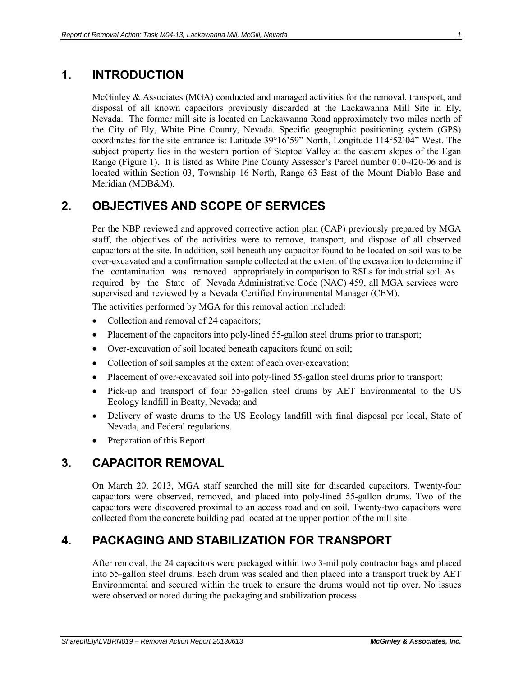### <span id="page-2-0"></span>**1. INTRODUCTION**

McGinley & Associates (MGA) conducted and managed activities for the removal, transport, and disposal of all known capacitors previously discarded at the Lackawanna Mill Site in Ely, Nevada. The former mill site is located on Lackawanna Road approximately two miles north of the City of Ely, White Pine County, Nevada. Specific geographic positioning system (GPS) coordinates for the site entrance is: Latitude 39°16'59" North, Longitude 114°52'04" West. The subject property lies in the western portion of Steptoe Valley at the eastern slopes of the Egan Range (Figure 1). It is listed as White Pine County Assessor's Parcel number 010-420-06 and is located within Section 03, Township 16 North, Range 63 East of the Mount Diablo Base and Meridian (MDB&M).

# <span id="page-2-1"></span>**2. OBJECTIVES AND SCOPE OF SERVICES**

Per the NBP reviewed and approved corrective action plan (CAP) previously prepared by MGA staff, the objectives of the activities were to remove, transport, and dispose of all observed capacitors at the site. In addition, soil beneath any capacitor found to be located on soil was to be over-excavated and a confirmation sample collected at the extent of the excavation to determine if the contamination was removed appropriately in comparison to RSLs for industrial soil. As required by the State of Nevada Administrative Code (NAC) 459, all MGA services were supervised and reviewed by a Nevada Certified Environmental Manager (CEM).

The activities performed by MGA for this removal action included:

- Collection and removal of 24 capacitors;
- Placement of the capacitors into poly-lined 55-gallon steel drums prior to transport;
- Over-excavation of soil located beneath capacitors found on soil;
- Collection of soil samples at the extent of each over-excavation;
- Placement of over-excavated soil into poly-lined 55-gallon steel drums prior to transport;
- Pick-up and transport of four 55-gallon steel drums by AET Environmental to the US Ecology landfill in Beatty, Nevada; and
- Delivery of waste drums to the US Ecology landfill with final disposal per local, State of Nevada, and Federal regulations.
- Preparation of this Report.

#### <span id="page-2-2"></span>**3. CAPACITOR REMOVAL**

On March 20, 2013, MGA staff searched the mill site for discarded capacitors. Twenty-four capacitors were observed, removed, and placed into poly-lined 55-gallon drums. Two of the capacitors were discovered proximal to an access road and on soil. Twenty-two capacitors were collected from the concrete building pad located at the upper portion of the mill site.

# <span id="page-2-3"></span>**4. PACKAGING AND STABILIZATION FOR TRANSPORT**

After removal, the 24 capacitors were packaged within two 3-mil poly contractor bags and placed into 55-gallon steel drums. Each drum was sealed and then placed into a transport truck by AET Environmental and secured within the truck to ensure the drums would not tip over. No issues were observed or noted during the packaging and stabilization process.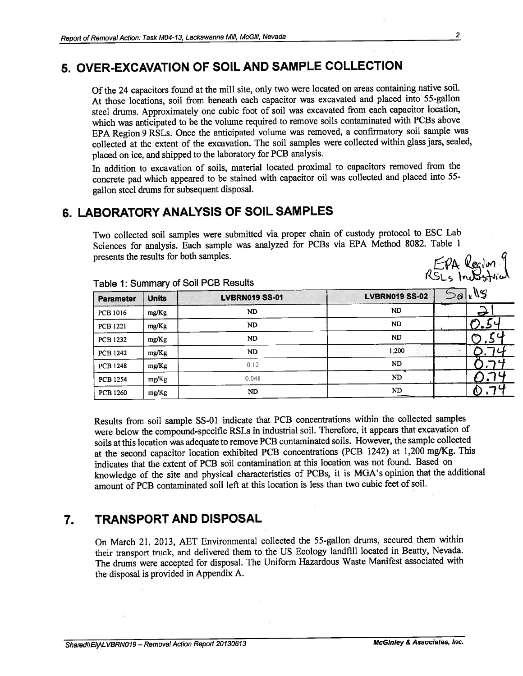# 5. OVER-EXCAVATION OF SOIL AND SAMPLE COLLECTION

Of the 24 capacitors found at the mill site, only two were located on areas containing native soil. At those locations, soil from beneath each capacitor was excavated and placed into 55-gallon steel drums. Approximately one cubic foot of soil was excavated from each capacitor location, which was anticipated to be the volume required to remove soils contaminated with PCBs above EPA Region 9 RSLs. Once the anticipated volume was removed, a confirmatory soil sample was collected at the extent of the excavation. The soil samples were collected within glass jars, sealed, placed on ice, and shipped to the laboratory for PCB analysis.

In addition to excavation of soils, material located proximal to capacitors removed from the concrete pad which appeared to be stained with capacitor oil was collected and placed into 55gallon steel drums for subsequent disposal.

# 6. LABORATORY ANALYSIS OF SOIL SAMPLES

Two collected soil samples were submitted via proper chain of custody protocol to ESC Lab Sciences for analysis. Each sample was analyzed for PCBs via EPA Method 8082. Table 1 presents the results for both samples. EPA Region y

| <b>Parameter</b> | <b>Units</b> | <b>LVBRN019 SS-01</b> | <b>LVBRN019 SS-02</b> | kUS<br>- 6 |
|------------------|--------------|-----------------------|-----------------------|------------|
| PCB 1016         | mg/Kg        | ND                    | ND.                   | ÷          |
| <b>PCB 1221</b>  | mg/Kg        | ND                    | ND                    | د.         |
| <b>PCB 1232</b>  | mg/Kg        | ND                    | <b>ND</b>             |            |
| <b>PCB 1242</b>  | mg/Kg        | ND                    | 1.200                 |            |
| <b>PCB 1248</b>  | mg/Kg        | 0.12                  | <b>ND</b>             |            |
| <b>PCB 1254</b>  | mg/Kg        | 0.041                 | <b>ND</b>             |            |
| <b>PCB 1260</b>  | mg/Kg        | <b>ND</b>             | ND                    |            |

Table 1: Summary of Soil PCB Results

Results from soil sample SS-01 indicate that PCB concentrations within the collected samples were below the compound-specific RSLs in industrial soil. Therefore, it appears that excavation of soils at this location was adequate to remove PCB contaminated soils. However, the sample collected at the second capacitor location exhibited PCB concentrations (PCB 1242) at 1,200 mg/Kg. This indicates that the extent of PCB soil contamination at this location was not found. Based on knowledge of the site and physical characteristics of PCBs, it is MGA's opinion that the additional amount of PCB contaminated soil left at this location is less than two cubic feet of soil.

#### **TRANSPORT AND DISPOSAL** 7.

On March 21, 2013, AET Environmental collected the 55-gallon drums, secured them within their transport truck, and delivered them to the US Ecology landfill located in Beatty, Nevada. The drums were accepted for disposal. The Uniform Hazardous Waste Manifest associated with the disposal is provided in Appendix A.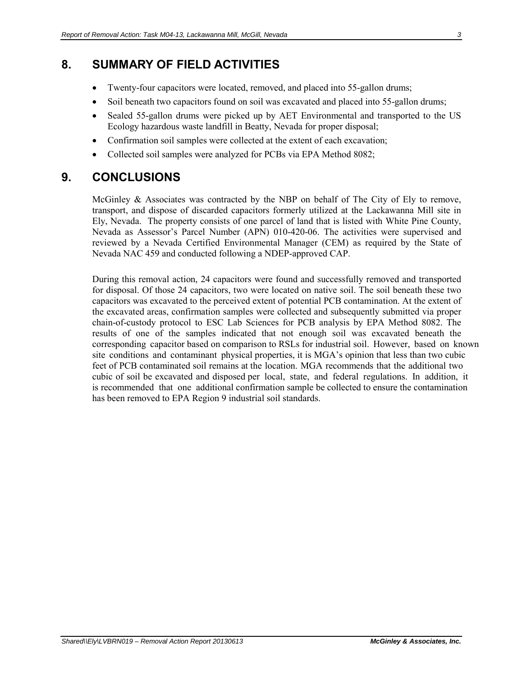#### <span id="page-4-0"></span>**8. SUMMARY OF FIELD ACTIVITIES**

- Twenty-four capacitors were located, removed, and placed into 55-gallon drums;
- Soil beneath two capacitors found on soil was excavated and placed into 55-gallon drums;
- Sealed 55-gallon drums were picked up by AET Environmental and transported to the US Ecology hazardous waste landfill in Beatty, Nevada for proper disposal;
- Confirmation soil samples were collected at the extent of each excavation;
- Collected soil samples were analyzed for PCBs via EPA Method 8082;

#### <span id="page-4-1"></span>**9. CONCLUSIONS**

McGinley  $\&$  Associates was contracted by the NBP on behalf of The City of Ely to remove, transport, and dispose of discarded capacitors formerly utilized at the Lackawanna Mill site in Ely, Nevada. The property consists of one parcel of land that is listed with White Pine County, Nevada as Assessor's Parcel Number (APN) 010-420-06. The activities were supervised and reviewed by a Nevada Certified Environmental Manager (CEM) as required by the State of Nevada NAC 459 and conducted following a NDEP-approved CAP.

During this removal action, 24 capacitors were found and successfully removed and transported for disposal. Of those 24 capacitors, two were located on native soil. The soil beneath these two capacitors was excavated to the perceived extent of potential PCB contamination. At the extent of the excavated areas, confirmation samples were collected and subsequently submitted via proper chain-of-custody protocol to ESC Lab Sciences for PCB analysis by EPA Method 8082. The results of one of the samples indicated that not enough soil was excavated beneath the corresponding capacitor based on comparison to RSLs for industrial soil. However, based on known site conditions and contaminant physical properties, it is MGA's opinion that less than two cubic feet of PCB contaminated soil remains at the location. MGA recommends that the additional two cubic of soil be excavated and disposed per local, state, and federal regulations. In addition, it is recommended that one additional confirmation sample be collected to ensure the contamination has been removed to EPA Region 9 industrial soil standards.